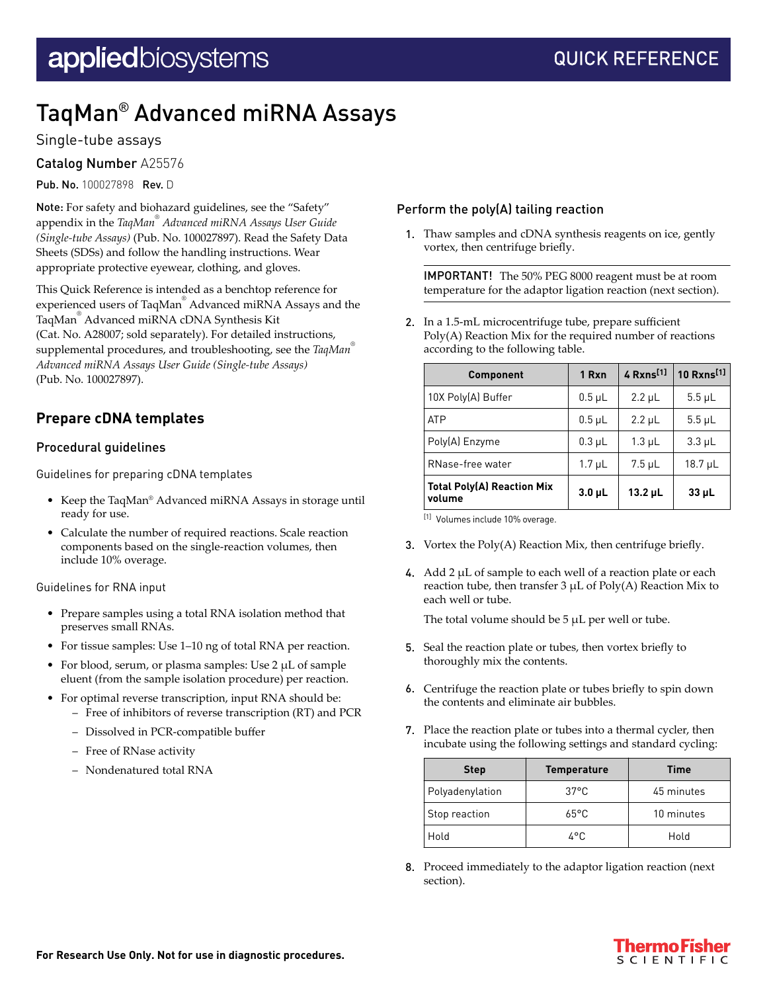# TaqMan® Advanced miRNA Assays

### Single-tube assays

Catalog Number A25576

Pub. No. 100027898 Rev. D

Note: For safety and biohazard guidelines, see the "Safety" appendix in the *TaqMan® Advanced miRNA Assays User Guide (Single-tube Assays)* (Pub. No. 100027897). Read the Safety Data Sheets (SDSs) and follow the handling instructions. Wear appropriate protective eyewear, clothing, and gloves.

This Quick Reference is intended as a benchtop reference for experienced users of TaqMan® Advanced miRNA Assays and the TaqMan® Advanced miRNA cDNA Synthesis Kit (Cat. No. A28007; sold separately). For detailed instructions, supplemental procedures, and troubleshooting, see the *TaqMan® Advanced miRNA Assays User Guide (Single-tube Assays)* (Pub. No. 100027897).

# **Prepare cDNA templates**

#### Procedural guidelines

Guidelines for preparing cDNA templates

- Keep the TaqMan® Advanced miRNA Assays in storage until ready for use.
- Calculate the number of required reactions. Scale reaction components based on the single-reaction volumes, then include 10% overage.

Guidelines for RNA input

- Prepare samples using a total RNA isolation method that preserves small RNAs.
- For tissue samples: Use 1–10 ng of total RNA per reaction.
- For blood, serum, or plasma samples: Use 2 µL of sample eluent (from the sample isolation procedure) per reaction.
- For optimal reverse transcription, input RNA should be:
	- Free of inhibitors of reverse transcription (RT) and PCR
	- Dissolved in PCR-compatible buffer
	- Free of RNase activity
	- Nondenatured total RNA

#### Perform the poly(A) tailing reaction

1. Thaw samples and cDNA synthesis reagents on ice, gently vortex, then centrifuge briefly.

IMPORTANT! The 50% PEG 8000 reagent must be at room temperature for the adaptor ligation reaction (next section).

2. In a 1.5-mL microcentrifuge tube, prepare sufficient Poly(A) Reaction Mix for the required number of reactions according to the following table.

| <b>Component</b>                            | 1 Rxn         | 4 Rxns <sup>[1]</sup> | 10 Rxns <sup>[1]</sup> |
|---------------------------------------------|---------------|-----------------------|------------------------|
| 10X Poly(A) Buffer                          | $0.5$ µL      | $2.2 \mu L$           | $5.5 \mu L$            |
| <b>ATP</b>                                  | $0.5$ µL      | $2.2 \mu L$           | $5.5$ µL               |
| Poly(A) Enzyme                              | $0.3$ $\mu$ L | $1.3 \mu L$           | $3.3 \mu L$            |
| RNase-free water                            | $1.7 \mu L$   | $7.5$ µL              | $18.7 \mu L$           |
| <b>Total Poly(A) Reaction Mix</b><br>volume | $3.0 \mu L$   | $13.2 \mu L$          | $33$ $\mu$ L           |

[1] Volumes include 10% overage.

- 3. Vortex the  $Poly(A)$  Reaction Mix, then centrifuge briefly.
- 4. Add  $2 \mu L$  of sample to each well of a reaction plate or each reaction tube, then transfer 3 µL of Poly(A) Reaction Mix to each well or tube.

The total volume should be 5 µL per well or tube.

- 5. Seal the reaction plate or tubes, then vortex briefly to thoroughly mix the contents.
- 6. Centrifuge the reaction plate or tubes briefly to spin down the contents and eliminate air bubbles.
- 7. Place the reaction plate or tubes into a thermal cycler, then incubate using the following settings and standard cycling:

| <b>Step</b>     | <b>Temperature</b> | <b>Time</b> |
|-----------------|--------------------|-------------|
| Polyadenylation | $37^{\circ}$ C     | 45 minutes  |
| Stop reaction   | $65^{\circ}$ C     | 10 minutes  |
| Hold            | 4°C                | Hold        |

8. Proceed immediately to the adaptor ligation reaction (next section).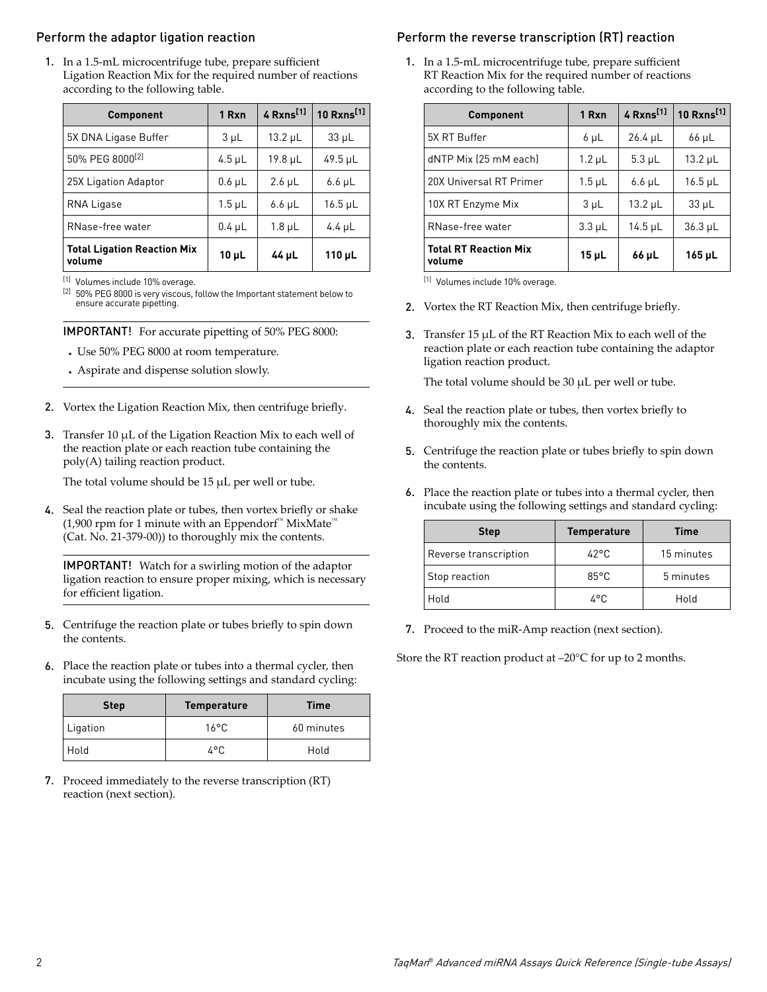#### Perform the adaptor ligation reaction

1. In a 1.5-mL microcentrifuge tube, prepare sufficient Ligation Reaction Mix for the required number of reactions according to the following table.

| Component                                    | 1 Rxn          | 4 Rxns <sup>[1]</sup> | 10 Rxns <sup>[1]</sup> |
|----------------------------------------------|----------------|-----------------------|------------------------|
| 5X DNA Ligase Buffer                         | 3 <sub>µ</sub> | $13.2 \mu L$          | $33 \mu L$             |
| 50% PEG 8000 <sup>[2]</sup>                  | $4.5$ µL       | $19.8 \mu L$          | $49.5 \mu L$           |
| 25X Ligation Adaptor                         | $0.6$ µL       | $2.6 \mu L$           | $6.6 \mu L$            |
| RNA Ligase                                   | $1.5$ µL       | $6.6 \mu L$           | $16.5$ µL              |
| RNase-free water                             | $0.4$ µL       | $1.8 \mu L$           | 4.4 $\mu$ L            |
| <b>Total Ligation Reaction Mix</b><br>volume | $10 \mu L$     | 44 µL                 | $110$ µL               |

[1] Volumes include 10% overage.

[2] 50% PEG 8000 is very viscous, follow the Important statement below to ensure accurate pipetting.

IMPORTANT! For accurate pipetting of 50% PEG 8000:

- **·** Use 50% PEG 8000 at room temperature.
- **·** Aspirate and dispense solution slowly.
- 2. Vortex the Ligation Reaction Mix, then centrifuge briefly.
- 3. Transfer 10  $\mu$ L of the Ligation Reaction Mix to each well of the reaction plate or each reaction tube containing the poly(A) tailing reaction product.

The total volume should be 15 µL per well or tube.

4. Seal the reaction plate or tubes, then vortex briefly or shake (1,900 rpm for 1 minute with an Eppendorf<sup>™</sup> MixMate<sup>™</sup> (Cat. No. 21-379-00)) to thoroughly mix the contents.

IMPORTANT! Watch for a swirling motion of the adaptor ligation reaction to ensure proper mixing, which is necessary for efficient ligation.

- 5. Centrifuge the reaction plate or tubes briefly to spin down the contents.
- 6. Place the reaction plate or tubes into a thermal cycler, then incubate using the following settings and standard cycling:

| <b>Temperature</b><br><b>Step</b> |                | <b>Time</b> |
|-----------------------------------|----------------|-------------|
| Ligation                          | $16^{\circ}$ C | 60 minutes  |
| Hold                              | 4°C            | Hold        |

7. Proceed immediately to the reverse transcription (RT) reaction (next section).

# Perform the reverse transcription (RT) reaction

1. In a 1.5-mL microcentrifuge tube, prepare sufficient RT Reaction Mix for the required number of reactions according to the following table.

| <b>Component</b>                       | 1 Rxn          | 4 Rxns <sup>[1]</sup> | 10 Rxns <sup>[1]</sup> |
|----------------------------------------|----------------|-----------------------|------------------------|
| 5X RT Buffer                           | $6 \mu L$      | $26.4 \mu L$          | $66 \mu L$             |
| dNTP Mix (25 mM each)                  | $1.2 \mu L$    | $5.3 \mu L$           | $13.2 \mu L$           |
| 20X Universal RT Primer                | $1.5$ µL       | $6.6 \mu L$           | $16.5 \mu L$           |
| 10X RT Enzyme Mix                      | 3 <sub>µ</sub> | $13.2 \mu L$          | $33 \mu L$             |
| RNase-free water                       | $3.3 \mu L$    | $14.5 \mu L$          | $36.3 \mu L$           |
| <b>Total RT Reaction Mix</b><br>volume | $15 \mu L$     | 66 µL                 | 165 µL                 |

[1] Volumes include 10% overage.

- 2. Vortex the RT Reaction Mix, then centrifuge briefly.
- 3. Transfer 15  $\mu$ L of the RT Reaction Mix to each well of the reaction plate or each reaction tube containing the adaptor ligation reaction product.

The total volume should be 30 µL per well or tube.

- 4. Seal the reaction plate or tubes, then vortex briefly to thoroughly mix the contents.
- 5. Centrifuge the reaction plate or tubes briefly to spin down the contents.
- 6. Place the reaction plate or tubes into a thermal cycler, then incubate using the following settings and standard cycling:

| <b>Step</b>           | <b>Temperature</b> | Time       |
|-----------------------|--------------------|------------|
| Reverse transcription | $42^{\circ}$ C     | 15 minutes |
| Stop reaction         | $85^{\circ}$ C     | 5 minutes  |
| Hold                  | 7°C                | Hold       |

7. Proceed to the miR-Amp reaction (next section).

Store the RT reaction product at –20°C for up to 2 months.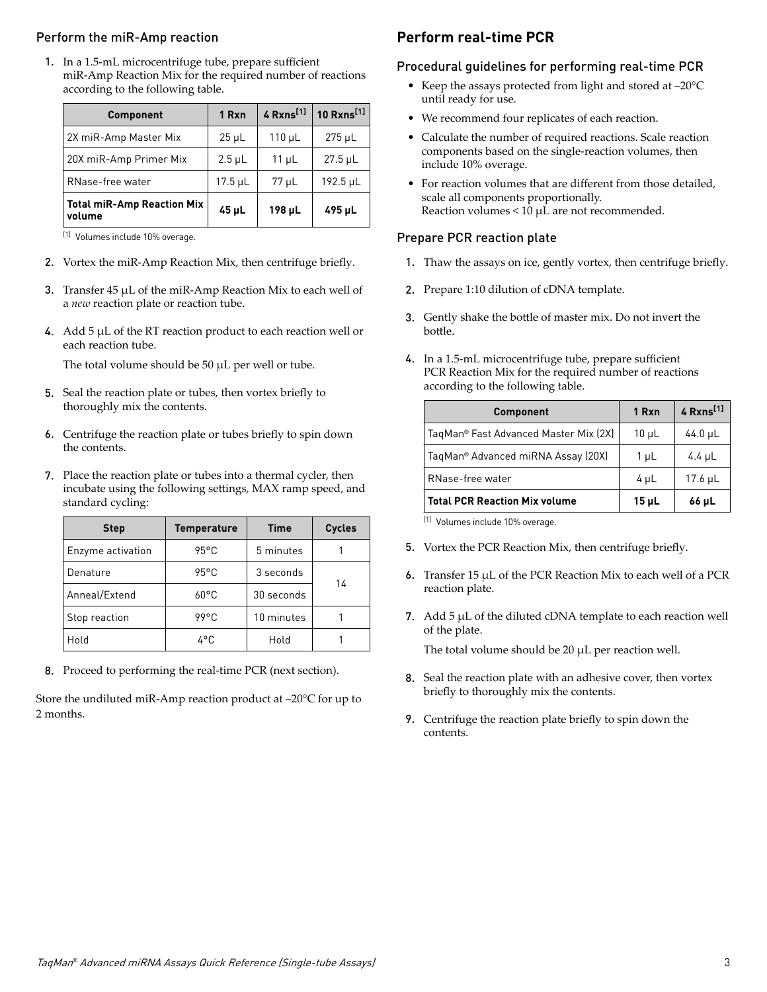#### Perform the miR-Amp reaction

1. In a 1.5-mL microcentrifuge tube, prepare sufficient miR-Amp Reaction Mix for the required number of reactions according to the following table.

| <b>Component</b>                            | 1 Rxn      | $4$ Rxns <sup>[1]</sup> | 10 $Rxns^{[1]}$ |
|---------------------------------------------|------------|-------------------------|-----------------|
| 2X miR-Amp Master Mix                       | $25 \mu L$ | $110 \mu L$             | $275$ µL        |
| 20X miR-Amp Primer Mix                      | $2.5$ µL   | $11 \mu L$              | $27.5 \mu L$    |
| RNase-free water                            | $17.5$ µL  | $77 \mu L$              | 192.5 µL        |
| <b>Total miR-Amp Reaction Mix</b><br>volume | 45 µL      | 198 µL                  | 495 µL          |

[1] Volumes include 10% overage.

- 2. Vortex the miR-Amp Reaction Mix, then centrifuge briefly.
- 3. Transfer 45 µL of the miR-Amp Reaction Mix to each well of a *new* reaction plate or reaction tube.
- 4. Add 5 µL of the RT reaction product to each reaction well or each reaction tube.

The total volume should be 50  $\mu$ L per well or tube.

- 5. Seal the reaction plate or tubes, then vortex briefly to thoroughly mix the contents.
- 6. Centrifuge the reaction plate or tubes briefly to spin down the contents.
- 7. Place the reaction plate or tubes into a thermal cycler, then incubate using the following settings, MAX ramp speed, and standard cycling:

| <b>Step</b>       | <b>Temperature</b> | <b>Time</b> | <b>Cycles</b> |
|-------------------|--------------------|-------------|---------------|
| Enzyme activation | 95°C               | 5 minutes   |               |
| Denature          | 95°C               | 3 seconds   |               |
| Anneal/Extend     | $60^{\circ}$ C     | 30 seconds  | 14            |
| Stop reaction     | 99°C               | 10 minutes  |               |
| Hold              | 4°C                | Hold        |               |

8. Proceed to performing the real-time PCR (next section).

Store the undiluted miR-Amp reaction product at –20°C for up to 2 months.

## **Perform real-time PCR**

#### Procedural guidelines for performing real-time PCR

- Keep the assays protected from light and stored at –20°C until ready for use.
- We recommend four replicates of each reaction.
- Calculate the number of required reactions. Scale reaction components based on the single-reaction volumes, then include 10% overage.
- For reaction volumes that are different from those detailed, scale all components proportionally. Reaction volumes < 10 µL are not recommended.

#### Prepare PCR reaction plate

- 1. Thaw the assays on ice, gently vortex, then centrifuge briefly.
- 2. Prepare 1:10 dilution of cDNA template.
- 3. Gently shake the bottle of master mix. Do not invert the bottle.
- 4. In a 1.5-mL microcentrifuge tube, prepare sufficient PCR Reaction Mix for the required number of reactions according to the following table.

| <b>Component</b>                      | 1 Rxn      | 4 Rxns <sup>[1]</sup> |
|---------------------------------------|------------|-----------------------|
| TaqMan® Fast Advanced Master Mix (2X) | $10 \mu L$ | $44.0 \mu L$          |
| TaqMan® Advanced miRNA Assay (20X)    | $1 \mu L$  | $4.4 \mu L$           |
| RNase-free water                      | $4 \mu L$  | $17.6$ $\mu$ L        |
| <b>Total PCR Reaction Mix volume</b>  | 15 µL      | 66 µL                 |

[1] Volumes include 10% overage.

- 5. Vortex the PCR Reaction Mix, then centrifuge briefly.
- 6. Transfer 15 µL of the PCR Reaction Mix to each well of a PCR reaction plate.
- 7. Add  $5 \mu L$  of the diluted cDNA template to each reaction well of the plate.

The total volume should be 20  $\mu$ L per reaction well.

- 8. Seal the reaction plate with an adhesive cover, then vortex briefly to thoroughly mix the contents.
- 9. Centrifuge the reaction plate briefly to spin down the contents.